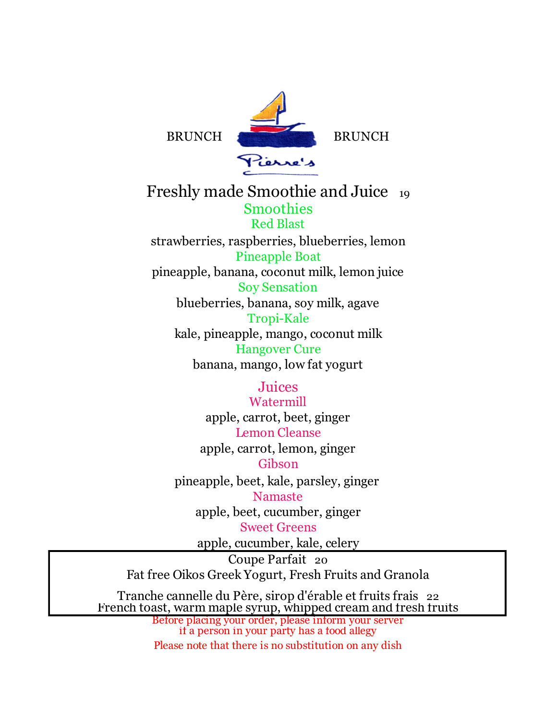

Freshly made Smoothie and Juice 19 Smoothies Red Blast strawberries, raspberries, blueberries, lemon Pineapple Boat pineapple, banana, coconut milk, lemon juice Soy Sensation blueberries, banana, soy milk, agave Tropi-Kale kale, pineapple, mango, coconut milk Hangover Cure banana, mango, low fat yogurt

> Juices Watermill apple, carrot, beet, ginger Lemon Cleanse apple, carrot, lemon, ginger Gibson pineapple, beet, kale, parsley, ginger Namaste apple, beet, cucumber, ginger Sweet Greens

> > apple, cucumber, kale, celery

Coupe Parfait 20 Fat free Oikos Greek Yogurt, Fresh Fruits and Granola

Tranche cannelle du Père, sirop d'érable et fruits frais 22 French toast, warm maple syrup, whipped cream and fresh fruits

Before placing your order, please inform your server if a person in your party has a food allegy Please note that there is no substitution on any dish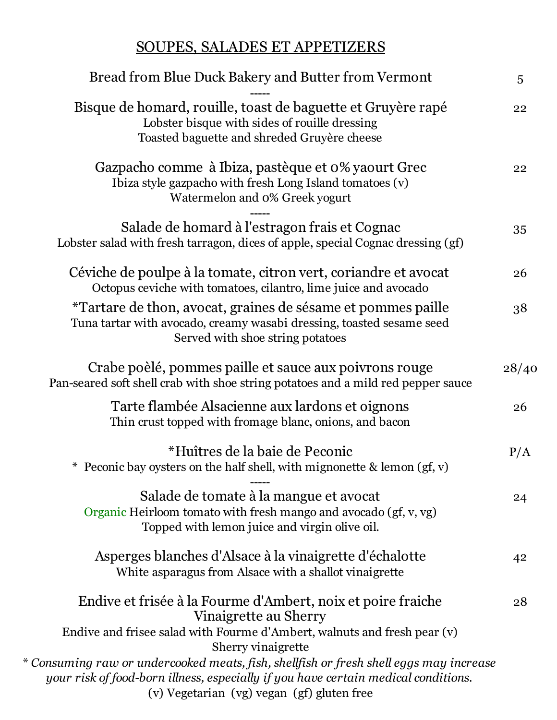## SOUPES, SALADES ET APPETIZERS

| Bread from Blue Duck Bakery and Butter from Vermont                                                                                                                       | 5     |
|---------------------------------------------------------------------------------------------------------------------------------------------------------------------------|-------|
| Bisque de homard, rouille, toast de baguette et Gruyère rapé<br>Lobster bisque with sides of rouille dressing<br>Toasted baguette and shreded Gruyère cheese              | 22    |
| Gazpacho comme à Ibiza, pastèque et 0% yaourt Grec<br>Ibiza style gazpacho with fresh Long Island tomatoes (v)<br>Watermelon and 0% Greek yogurt                          | 22    |
| Salade de homard à l'estragon frais et Cognac<br>Lobster salad with fresh tarragon, dices of apple, special Cognac dressing (gf)                                          | 35    |
| Céviche de poulpe à la tomate, citron vert, coriandre et avocat<br>Octopus ceviche with tomatoes, cilantro, lime juice and avocado                                        | 26    |
| *Tartare de thon, avocat, graines de sésame et pommes paille<br>Tuna tartar with avocado, creamy wasabi dressing, toasted sesame seed<br>Served with shoe string potatoes | 38    |
| Crabe poèlé, pommes paille et sauce aux poivrons rouge<br>Pan-seared soft shell crab with shoe string potatoes and a mild red pepper sauce                                | 28/40 |
| Tarte flambée Alsacienne aux lardons et oignons<br>Thin crust topped with fromage blanc, onions, and bacon                                                                | 26    |
| *Huîtres de la baie de Peconic<br>* Peconic bay oysters on the half shell, with mignonette $\&$ lemon (gf, v)                                                             | P/A   |
| Salade de tomate à la mangue et avocat<br>Organic Heirloom tomato with fresh mango and avocado (gf, v, vg)<br>Topped with lemon juice and virgin olive oil.               | 24    |
| Asperges blanches d'Alsace à la vinaigrette d'échalotte<br>White asparagus from Alsace with a shallot vinaigrette                                                         | 42    |
| Endive et frisée à la Fourme d'Ambert, noix et poire fraiche<br>Vinaigrette au Sherry                                                                                     | 28    |
| Endive and frisee salad with Fourme d'Ambert, walnuts and fresh pear (v)                                                                                                  |       |
| Sherry vinaigrette<br>* Consuming raw or undercooked meats, fish, shellfish or fresh shell eggs may increase                                                              |       |
| your risk of food-born illness, especially if you have certain medical conditions.<br>(v) Vegetarian (vg) vegan (gf) gluten free                                          |       |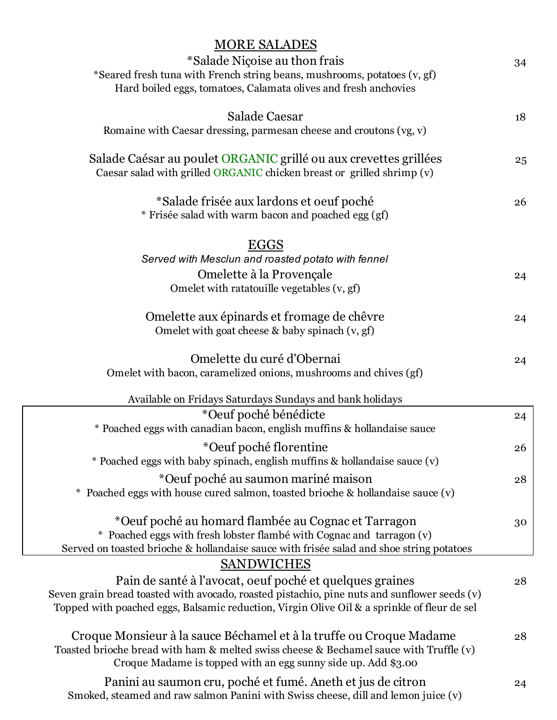| <b>MORE SALADES</b>                                                                                                                        |    |
|--------------------------------------------------------------------------------------------------------------------------------------------|----|
| *Salade Niçoise au thon frais                                                                                                              | 34 |
| *Seared fresh tuna with French string beans, mushrooms, potatoes (v, gf)                                                                   |    |
| Hard boiled eggs, tomatoes, Calamata olives and fresh anchovies                                                                            |    |
| <b>Salade Caesar</b>                                                                                                                       | 18 |
| Romaine with Caesar dressing, parmesan cheese and croutons (vg, v)                                                                         |    |
| Salade Caésar au poulet ORGANIC grillé ou aux crevettes grillées<br>Caesar salad with grilled ORGANIC chicken breast or grilled shrimp (v) | 25 |
| *Salade frisée aux lardons et oeuf poché                                                                                                   | 26 |
| * Frisée salad with warm bacon and poached egg (gf)                                                                                        |    |
| <b>EGGS</b>                                                                                                                                |    |
| Served with Mesclun and roasted potato with fennel                                                                                         |    |
| Omelette à la Provençale                                                                                                                   | 24 |
| Omelet with ratatouille vegetables (v, gf)                                                                                                 |    |
| Omelette aux épinards et fromage de chêvre<br>Omelet with goat cheese & baby spinach (v, gf)                                               | 24 |
| Omelette du curé d'Obernai                                                                                                                 | 24 |
| Omelet with bacon, caramelized onions, mushrooms and chives (gf)                                                                           |    |
| Available on Fridays Saturdays Sundays and bank holidays                                                                                   |    |
| *Oeuf poché bénédicte                                                                                                                      | 24 |
| * Poached eggs with canadian bacon, english muffins & hollandaise sauce                                                                    |    |
| *Oeuf poché florentine                                                                                                                     | 26 |
| * Poached eggs with baby spinach, english muffins & hollandaise sauce (v)                                                                  |    |
| *Oeuf poché au saumon mariné maison                                                                                                        | 28 |
| Poached eggs with house cured salmon, toasted brioche & hollandaise sauce (v)                                                              |    |
| *Oeuf poché au homard flambée au Cognac et Tarragon                                                                                        | 30 |
| * Poached eggs with fresh lobster flambé with Cognac and tarragon (v)                                                                      |    |
| Served on toasted brioche & hollandaise sauce with frisée salad and shoe string potatoes                                                   |    |
| <b>SANDWICHES</b>                                                                                                                          |    |
| Pain de santé à l'avocat, oeuf poché et quelques graines                                                                                   | 28 |
| Seven grain bread toasted with avocado, roasted pistachio, pine nuts and sunflower seeds (v)                                               |    |
| Topped with poached eggs, Balsamic reduction, Virgin Olive Oil & a sprinkle of fleur de sel                                                |    |
| Croque Monsieur à la sauce Béchamel et à la truffe ou Croque Madame                                                                        | 28 |
| Toasted brioche bread with ham & melted swiss cheese & Bechamel sauce with Truffle (v)                                                     |    |
| Croque Madame is topped with an egg sunny side up. Add \$3.00                                                                              |    |
| Panini au saumon cru, poché et fumé. Aneth et jus de citron                                                                                | 24 |
| Smoked, steamed and raw salmon Panini with Swiss cheese, dill and lemon juice (v)                                                          |    |